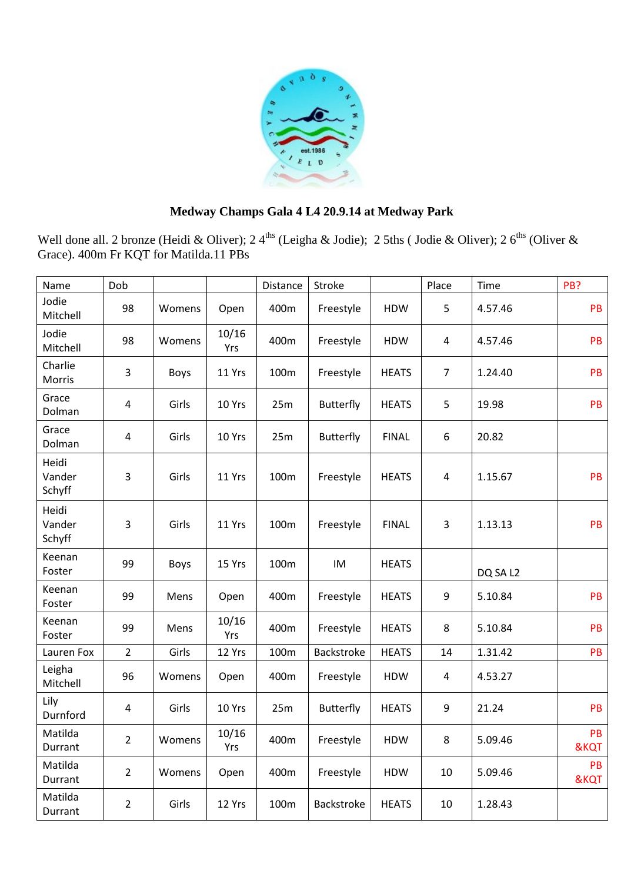

## **Medway Champs Gala 4 L4 20.9.14 at Medway Park**

Well done all. 2 bronze (Heidi & Oliver); 2 4<sup>ths</sup> (Leigha & Jodie); 2 5ths (Jodie & Oliver); 2 6<sup>ths</sup> (Oliver & Grace). 400m Fr KQT for Matilda.11 PBs

| Name                      | Dob            |        |              | Distance | Stroke           |              | Place          | Time     | PB?        |
|---------------------------|----------------|--------|--------------|----------|------------------|--------------|----------------|----------|------------|
| Jodie<br>Mitchell         | 98             | Womens | Open         | 400m     | Freestyle        | <b>HDW</b>   | 5              | 4.57.46  | PB         |
| Jodie<br>Mitchell         | 98             | Womens | 10/16<br>Yrs | 400m     | Freestyle        | <b>HDW</b>   | $\overline{4}$ | 4.57.46  | PB         |
| Charlie<br>Morris         | 3              | Boys   | 11 Yrs       | 100m     | Freestyle        | <b>HEATS</b> | $\overline{7}$ | 1.24.40  | PB         |
| Grace<br>Dolman           | $\overline{4}$ | Girls  | 10 Yrs       | 25m      | <b>Butterfly</b> | <b>HEATS</b> | 5              | 19.98    | PB         |
| Grace<br>Dolman           | $\overline{4}$ | Girls  | 10 Yrs       | 25m      | <b>Butterfly</b> | <b>FINAL</b> | 6              | 20.82    |            |
| Heidi<br>Vander<br>Schyff | 3              | Girls  | 11 Yrs       | 100m     | Freestyle        | <b>HEATS</b> | $\overline{4}$ | 1.15.67  | PB         |
| Heidi<br>Vander<br>Schyff | 3              | Girls  | 11 Yrs       | 100m     | Freestyle        | <b>FINAL</b> | 3              | 1.13.13  | PB         |
| Keenan<br>Foster          | 99             | Boys   | 15 Yrs       | 100m     | IM               | <b>HEATS</b> |                | DQ SA L2 |            |
| Keenan<br>Foster          | 99             | Mens   | Open         | 400m     | Freestyle        | <b>HEATS</b> | 9              | 5.10.84  | PB         |
| Keenan<br>Foster          | 99             | Mens   | 10/16<br>Yrs | 400m     | Freestyle        | <b>HEATS</b> | 8              | 5.10.84  | PB         |
| Lauren Fox                | $\overline{2}$ | Girls  | 12 Yrs       | 100m     | Backstroke       | <b>HEATS</b> | 14             | 1.31.42  | PB         |
| Leigha<br>Mitchell        | 96             | Womens | Open         | 400m     | Freestyle        | <b>HDW</b>   | 4              | 4.53.27  |            |
| Lily<br>Durnford          | 4              | Girls  | 10 Yrs       | 25m      | <b>Butterfly</b> | <b>HEATS</b> | 9              | 21.24    | PB         |
| Matilda<br>Durrant        | $\overline{2}$ | Womens | 10/16<br>Yrs | 400m     | Freestyle        | <b>HDW</b>   | 8              | 5.09.46  | PB<br>&KQT |
| Matilda<br>Durrant        | $\overline{2}$ | Womens | Open         | 400m     | Freestyle        | <b>HDW</b>   | 10             | 5.09.46  | PB<br>&KQT |
| Matilda<br>Durrant        | $\overline{2}$ | Girls  | 12 Yrs       | 100m     | Backstroke       | <b>HEATS</b> | 10             | 1.28.43  |            |